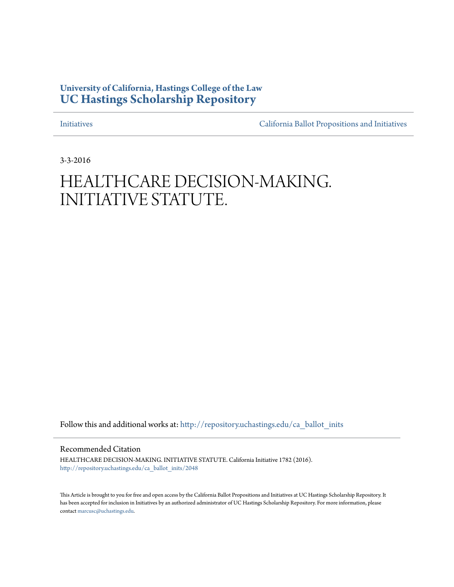## **University of California, Hastings College of the Law [UC Hastings Scholarship Repository](http://repository.uchastings.edu?utm_source=repository.uchastings.edu%2Fca_ballot_inits%2F2048&utm_medium=PDF&utm_campaign=PDFCoverPages)**

[Initiatives](http://repository.uchastings.edu/ca_ballot_inits?utm_source=repository.uchastings.edu%2Fca_ballot_inits%2F2048&utm_medium=PDF&utm_campaign=PDFCoverPages) [California Ballot Propositions and Initiatives](http://repository.uchastings.edu/ca_ballots?utm_source=repository.uchastings.edu%2Fca_ballot_inits%2F2048&utm_medium=PDF&utm_campaign=PDFCoverPages)

3-3-2016

# HEALTHCARE DECISION-MAKING. INITIATIVE STATUTE.

Follow this and additional works at: [http://repository.uchastings.edu/ca\\_ballot\\_inits](http://repository.uchastings.edu/ca_ballot_inits?utm_source=repository.uchastings.edu%2Fca_ballot_inits%2F2048&utm_medium=PDF&utm_campaign=PDFCoverPages)

Recommended Citation

HEALTHCARE DECISION-MAKING. INITIATIVE STATUTE. California Initiative 1782 (2016). [http://repository.uchastings.edu/ca\\_ballot\\_inits/2048](http://repository.uchastings.edu/ca_ballot_inits/2048?utm_source=repository.uchastings.edu%2Fca_ballot_inits%2F2048&utm_medium=PDF&utm_campaign=PDFCoverPages)

This Article is brought to you for free and open access by the California Ballot Propositions and Initiatives at UC Hastings Scholarship Repository. It has been accepted for inclusion in Initiatives by an authorized administrator of UC Hastings Scholarship Repository. For more information, please contact [marcusc@uchastings.edu](mailto:marcusc@uchastings.edu).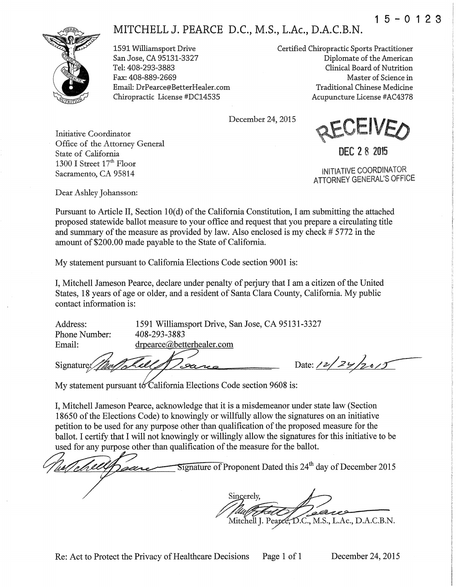## $1 5 - 0 1 2 3$





1591 Williamsport Drive San Jose, CA 95131-3327 Tel: 408-293-3883 Fax: 408-889-2669 Email: DrPearce@BetterHealer.com Chiropractic License #DC14535

Certified Chiropractic Sports Practitioner Diplomate of the American Clinical Board of Nutrition Master of Science in Traditional Chinese Medicine Acupuncture License #AC4378

December 24, 2015



State of California 1300 I Street 17<sup>th</sup> Floor Sacramento, CA 95814

Office of the Attorney General

INITIATIVE COORDINATOR ATTORNEY GENERAL'S OFFICE

DEC 2 8 2015

Dear Ashley Johansson:

Initiative Coordinator

Pursuant to Article II, Section 10(d) of the California Constitution, I am submitting the attached proposed statewide ballot measure to your office and request that you prepare a circulating title and summary of the measure as provided by law. Also enclosed is my check # 5772 in the amount of \$200.00 made payable to the State of California.

My statement pursuant to California Elections Code section 9001 is:

I, Mitchell Jameson Pearce, declare under penalty of perjury that I am a citizen of the United States, 18 years of age or older, and a resident of Santa Clara County, California. My public contact information is:

1591 Williamsport Drive, San Jose, CA 95131-3327 Address: Phone Number: 408-293-3883 drpearce@betterhealer.com Email:

Signature

Date:  $12/29/2015$ 

My statement pursuant to California Elections Code section 9608 is:

I, Mitchell Jameson Pearce, acknowledge that it is a misdemeanor under state law (Section 18650 of the Elections Code) to knowingly or willfully allow the signatures on an initiative petition to be used for any purpose other than qualification of the proposed measure for the ballot. I certify that I will not knowingly or willingly allow the signatures for this initiative to be used for any purpose other than qualification of the measure for the ballot.

 $\overline{\text{Sigma}}$  of Proponent Dated this 24<sup>th</sup> day of December 2015 Sincerely.

Mitchell J. Pearce, D.C., M.S., L.Ac., D.A.C.B.N.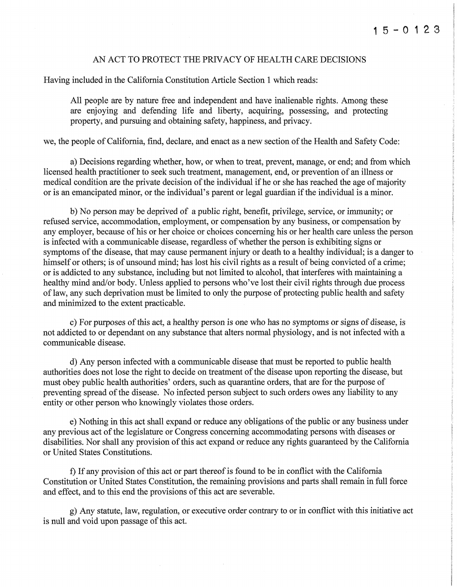### AN ACT TO PROTECT THE PRIVACY OF HEALTH CARE DECISIONS

Having included in the California Constitution Article Section 1 which reads:

All people are by nature free and independent and have inalienable rights. Among these are enjoying and defending life and liberty, acquiring, possessing, and protecting property, and pursuing and obtaining safety, happiness, and privacy.

we, the people of California, find, declare, and enact as a new section of the Health and Safety Code:

a) Decisions regarding whether, how, or when to treat, prevent, manage, or end; and from which licensed health practitioner to seek such treatment, management, end, or prevention of an illness or medical condition are the private decision of the individual ifhe or she has reached the age of majority or is an emancipated minor, or the individual's parent or legal guardian if the individual is a minor.

b) No person may be deprived of a public right, benefit, privilege, service, or immunity; or refused service, accommodation, employment, or compensation by any business, or compensation by any employer, because of his or her choice or choices concerning his or her health care unless the person is infected with a communicable disease, regardless of whether the person is exhibiting signs or symptoms of the disease, that may cause permanent injury or death to a healthy individual; is a danger to himself or others; is of unsound mind; has lost his civil rights as a result of being convicted of a crime; or is addicted to any substance, including but not limited to alcohol, that interferes with maintaining a healthy mind and/or body. Unless applied to persons who've lost their civil rights through due process of law, any such deprivation must be limited to only the purpose of protecting public health and safety and minimized to the extent practicable.

c) For purposes of this act, a healthy person is one who has no symptoms or signs of disease, is not addicted to or dependant on any substance that alters normal physiology, and is not infected with a communicable disease.

d) Any person infected with a communicable disease that must be reported to public health authorities does not lose the right to decide on treatment of the disease upon reporting the disease, but must obey public health authorities' orders, such as quarantine orders, that are for the purpose of preventing spread of the disease. No infected person subject to such orders owes any liability to any entity or other person who knowingly violates those orders.

e) Nothing in this act shall expand or reduce any obligations of the public or any business under any previous act of the legislature or Congress concerning accommodating persons with diseases or disabilities. Nor shall any provision of this act expand or reduce any rights guaranteed by the California or United States Constitutions.

f) If any provision of this act or part thereof is found to be in conflict with the California Constitution or United States Constitution, the remaining provisions and parts shall remain in full force and effect, and to this end the provisions of this act are severable.

g) Any statute, law, regulation, or executive order contrary to or in conflict with this initiative act is null and void upon passage of this act.